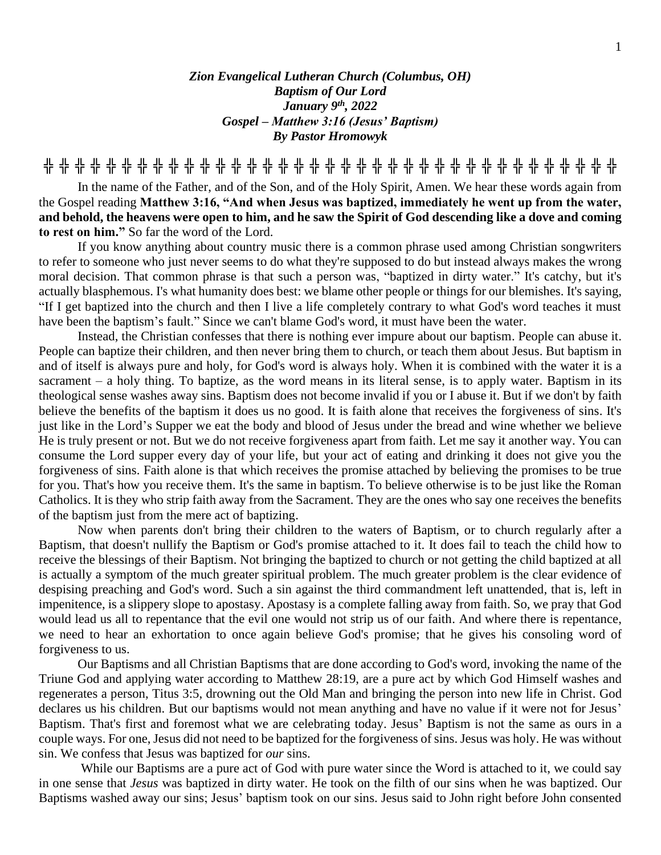*Zion Evangelical Lutheran Church (Columbus, OH) Baptism of Our Lord January 9 th , 2022 Gospel – Matthew 3:16 (Jesus' Baptism) By Pastor Hromowyk*

**╬ ╬ ╬ ╬ ╬ ╬ ╬ ╬ ╬ ╬ ╬ ╬ ╬ ╬ ╬ ╬ ╬ ╬ ╬ ╬ ╬ ╬ ╬ ╬ ╬ ╬ ╬ ╬ ╬ ╬ ╬ ╬ ╬ ╬ ╬ ╬ ╬**

In the name of the Father, and of the Son, and of the Holy Spirit, Amen. We hear these words again from the Gospel reading **Matthew 3:16, "And when Jesus was baptized, immediately he went up from the water, and behold, the heavens were open to him, and he saw the Spirit of God descending like a dove and coming to rest on him."** So far the word of the Lord.

If you know anything about country music there is a common phrase used among Christian songwriters to refer to someone who just never seems to do what they're supposed to do but instead always makes the wrong moral decision. That common phrase is that such a person was, "baptized in dirty water." It's catchy, but it's actually blasphemous. I's what humanity does best: we blame other people or things for our blemishes. It's saying, "If I get baptized into the church and then I live a life completely contrary to what God's word teaches it must have been the baptism's fault." Since we can't blame God's word, it must have been the water.

Instead, the Christian confesses that there is nothing ever impure about our baptism. People can abuse it. People can baptize their children, and then never bring them to church, or teach them about Jesus. But baptism in and of itself is always pure and holy, for God's word is always holy. When it is combined with the water it is a sacrament – a holy thing. To baptize, as the word means in its literal sense, is to apply water. Baptism in its theological sense washes away sins. Baptism does not become invalid if you or I abuse it. But if we don't by faith believe the benefits of the baptism it does us no good. It is faith alone that receives the forgiveness of sins. It's just like in the Lord's Supper we eat the body and blood of Jesus under the bread and wine whether we believe He is truly present or not. But we do not receive forgiveness apart from faith. Let me say it another way. You can consume the Lord supper every day of your life, but your act of eating and drinking it does not give you the forgiveness of sins. Faith alone is that which receives the promise attached by believing the promises to be true for you. That's how you receive them. It's the same in baptism. To believe otherwise is to be just like the Roman Catholics. It is they who strip faith away from the Sacrament. They are the ones who say one receives the benefits of the baptism just from the mere act of baptizing.

Now when parents don't bring their children to the waters of Baptism, or to church regularly after a Baptism, that doesn't nullify the Baptism or God's promise attached to it. It does fail to teach the child how to receive the blessings of their Baptism. Not bringing the baptized to church or not getting the child baptized at all is actually a symptom of the much greater spiritual problem. The much greater problem is the clear evidence of despising preaching and God's word. Such a sin against the third commandment left unattended, that is, left in impenitence, is a slippery slope to apostasy. Apostasy is a complete falling away from faith. So, we pray that God would lead us all to repentance that the evil one would not strip us of our faith. And where there is repentance, we need to hear an exhortation to once again believe God's promise; that he gives his consoling word of forgiveness to us.

Our Baptisms and all Christian Baptisms that are done according to God's word, invoking the name of the Triune God and applying water according to Matthew 28:19, are a pure act by which God Himself washes and regenerates a person, Titus 3:5, drowning out the Old Man and bringing the person into new life in Christ. God declares us his children. But our baptisms would not mean anything and have no value if it were not for Jesus' Baptism. That's first and foremost what we are celebrating today. Jesus' Baptism is not the same as ours in a couple ways. For one, Jesus did not need to be baptized for the forgiveness of sins. Jesus was holy. He was without sin. We confess that Jesus was baptized for *our* sins.

While our Baptisms are a pure act of God with pure water since the Word is attached to it, we could say in one sense that *Jesus* was baptized in dirty water. He took on the filth of our sins when he was baptized. Our Baptisms washed away our sins; Jesus' baptism took on our sins. Jesus said to John right before John consented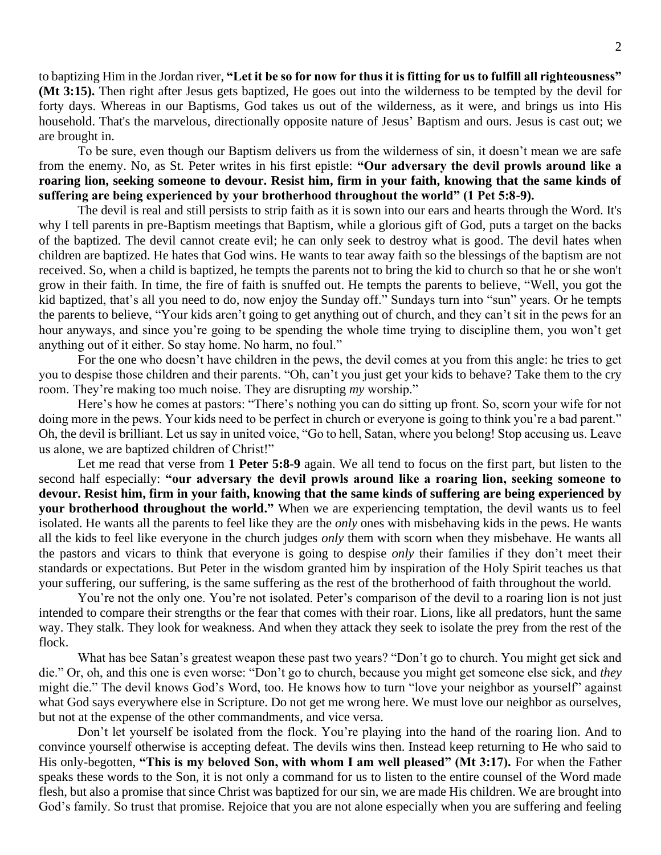to baptizing Him in the Jordan river, **"Let it be so for now for thus it is fitting for us to fulfill all righteousness" (Mt 3:15).** Then right after Jesus gets baptized, He goes out into the wilderness to be tempted by the devil for forty days. Whereas in our Baptisms, God takes us out of the wilderness, as it were, and brings us into His household. That's the marvelous, directionally opposite nature of Jesus' Baptism and ours. Jesus is cast out; we are brought in.

To be sure, even though our Baptism delivers us from the wilderness of sin, it doesn't mean we are safe from the enemy. No, as St. Peter writes in his first epistle: **"Our adversary the devil prowls around like a roaring lion, seeking someone to devour. Resist him, firm in your faith, knowing that the same kinds of suffering are being experienced by your brotherhood throughout the world" (1 Pet 5:8-9).**

The devil is real and still persists to strip faith as it is sown into our ears and hearts through the Word. It's why I tell parents in pre-Baptism meetings that Baptism, while a glorious gift of God, puts a target on the backs of the baptized. The devil cannot create evil; he can only seek to destroy what is good. The devil hates when children are baptized. He hates that God wins. He wants to tear away faith so the blessings of the baptism are not received. So, when a child is baptized, he tempts the parents not to bring the kid to church so that he or she won't grow in their faith. In time, the fire of faith is snuffed out. He tempts the parents to believe, "Well, you got the kid baptized, that's all you need to do, now enjoy the Sunday off." Sundays turn into "sun" years. Or he tempts the parents to believe, "Your kids aren't going to get anything out of church, and they can't sit in the pews for an hour anyways, and since you're going to be spending the whole time trying to discipline them, you won't get anything out of it either. So stay home. No harm, no foul."

For the one who doesn't have children in the pews, the devil comes at you from this angle: he tries to get you to despise those children and their parents. "Oh, can't you just get your kids to behave? Take them to the cry room. They're making too much noise. They are disrupting *my* worship."

Here's how he comes at pastors: "There's nothing you can do sitting up front. So, scorn your wife for not doing more in the pews. Your kids need to be perfect in church or everyone is going to think you're a bad parent." Oh, the devil is brilliant. Let us say in united voice, "Go to hell, Satan, where you belong! Stop accusing us. Leave us alone, we are baptized children of Christ!"

Let me read that verse from **1 Peter 5:8-9** again. We all tend to focus on the first part, but listen to the second half especially: **"our adversary the devil prowls around like a roaring lion, seeking someone to devour. Resist him, firm in your faith, knowing that the same kinds of suffering are being experienced by your brotherhood throughout the world."** When we are experiencing temptation, the devil wants us to feel isolated. He wants all the parents to feel like they are the *only* ones with misbehaving kids in the pews. He wants all the kids to feel like everyone in the church judges *only* them with scorn when they misbehave. He wants all the pastors and vicars to think that everyone is going to despise *only* their families if they don't meet their standards or expectations. But Peter in the wisdom granted him by inspiration of the Holy Spirit teaches us that your suffering, our suffering, is the same suffering as the rest of the brotherhood of faith throughout the world.

You're not the only one. You're not isolated. Peter's comparison of the devil to a roaring lion is not just intended to compare their strengths or the fear that comes with their roar. Lions, like all predators, hunt the same way. They stalk. They look for weakness. And when they attack they seek to isolate the prey from the rest of the flock.

What has bee Satan's greatest weapon these past two years? "Don't go to church. You might get sick and die." Or, oh, and this one is even worse: "Don't go to church, because you might get someone else sick, and *they* might die." The devil knows God's Word, too. He knows how to turn "love your neighbor as yourself" against what God says everywhere else in Scripture. Do not get me wrong here. We must love our neighbor as ourselves, but not at the expense of the other commandments, and vice versa.

Don't let yourself be isolated from the flock. You're playing into the hand of the roaring lion. And to convince yourself otherwise is accepting defeat. The devils wins then. Instead keep returning to He who said to His only-begotten, **"This is my beloved Son, with whom I am well pleased" (Mt 3:17).** For when the Father speaks these words to the Son, it is not only a command for us to listen to the entire counsel of the Word made flesh, but also a promise that since Christ was baptized for our sin, we are made His children. We are brought into God's family. So trust that promise. Rejoice that you are not alone especially when you are suffering and feeling